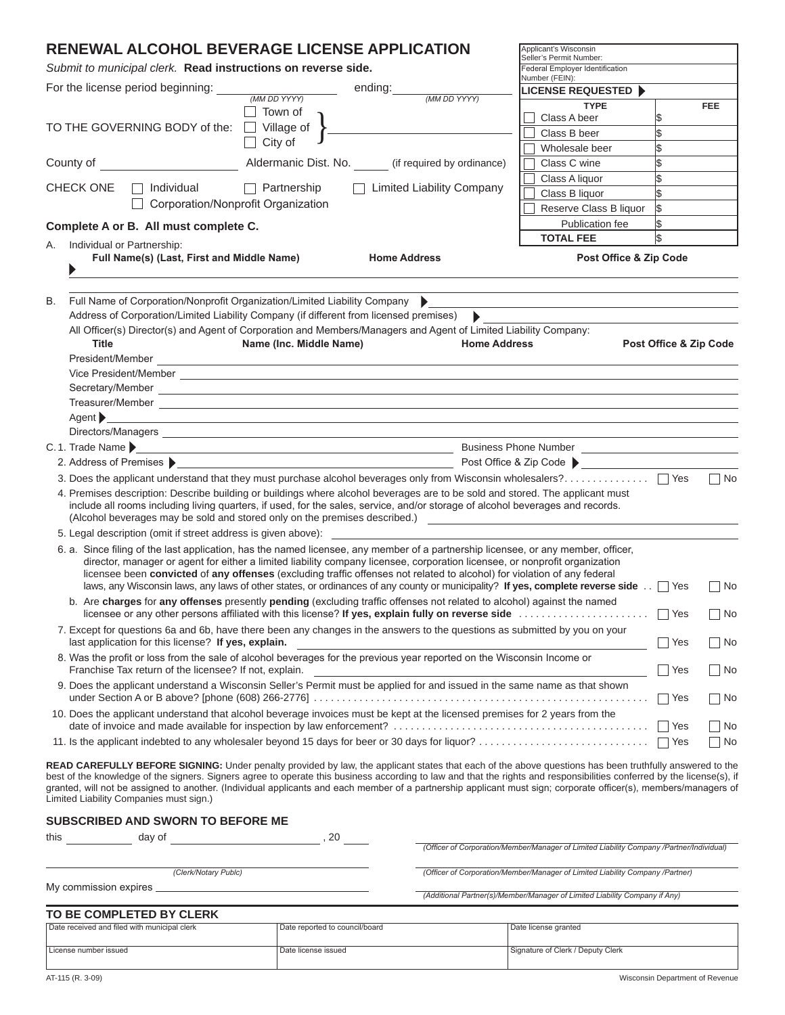# **RENEWAL ALCOHOL BEVERAGE LICENSE APPLICATION**

*Submit to municipal clerk.* **Read instructions on reverse side.**

| Submit to municipal clerk. Read instructions on reverse side.                                                                                                                     | Federal Employer Identification<br>Number (FEIN):                                                                                                                                                                                                                                                                                                                                                                                                                                                            |                                                                                          |                         |             |
|-----------------------------------------------------------------------------------------------------------------------------------------------------------------------------------|--------------------------------------------------------------------------------------------------------------------------------------------------------------------------------------------------------------------------------------------------------------------------------------------------------------------------------------------------------------------------------------------------------------------------------------------------------------------------------------------------------------|------------------------------------------------------------------------------------------|-------------------------|-------------|
| For the license period beginning:<br>ending:<br>(MM DD YYYY)<br>(MM DD YYYY)                                                                                                      |                                                                                                                                                                                                                                                                                                                                                                                                                                                                                                              | <b>LICENSE REQUESTED ▶</b>                                                               |                         |             |
|                                                                                                                                                                                   | Town of                                                                                                                                                                                                                                                                                                                                                                                                                                                                                                      | <b>TYPE</b>                                                                              |                         | <b>FEE</b>  |
| TO THE GOVERNING BODY of the:                                                                                                                                                     | Village of                                                                                                                                                                                                                                                                                                                                                                                                                                                                                                   | Class A beer                                                                             | 1\$                     |             |
|                                                                                                                                                                                   | City of                                                                                                                                                                                                                                                                                                                                                                                                                                                                                                      | Class B beer                                                                             | $\overline{\mathbb{S}}$ |             |
|                                                                                                                                                                                   |                                                                                                                                                                                                                                                                                                                                                                                                                                                                                                              | Wholesale beer                                                                           | $\overline{\mathbb{S}}$ |             |
| County of                                                                                                                                                                         | Aldermanic Dist. No. (if required by ordinance)                                                                                                                                                                                                                                                                                                                                                                                                                                                              | Class C wine                                                                             | $\overline{\mathbb{S}}$ |             |
|                                                                                                                                                                                   |                                                                                                                                                                                                                                                                                                                                                                                                                                                                                                              | Class A liquor                                                                           | l\$                     |             |
| □ Limited Liability Company<br><b>CHECK ONE</b><br>Individual<br>$\Box$ Partnership                                                                                               |                                                                                                                                                                                                                                                                                                                                                                                                                                                                                                              | Class B liquor                                                                           | l\$                     |             |
| Corporation/Nonprofit Organization                                                                                                                                                |                                                                                                                                                                                                                                                                                                                                                                                                                                                                                                              | Reserve Class B liquor                                                                   | l\$                     |             |
| Complete A or B. All must complete C.                                                                                                                                             |                                                                                                                                                                                                                                                                                                                                                                                                                                                                                                              | Publication fee                                                                          | \$                      |             |
| Individual or Partnership:<br>А.                                                                                                                                                  |                                                                                                                                                                                                                                                                                                                                                                                                                                                                                                              | <b>TOTAL FEE</b>                                                                         | l\$                     |             |
| Full Name(s) (Last, First and Middle Name)<br><b>Home Address</b>                                                                                                                 |                                                                                                                                                                                                                                                                                                                                                                                                                                                                                                              | Post Office & Zip Code                                                                   |                         |             |
|                                                                                                                                                                                   |                                                                                                                                                                                                                                                                                                                                                                                                                                                                                                              |                                                                                          |                         |             |
|                                                                                                                                                                                   |                                                                                                                                                                                                                                                                                                                                                                                                                                                                                                              |                                                                                          |                         |             |
| В.<br>Full Name of Corporation/Nonprofit Organization/Limited Liability Company                                                                                                   |                                                                                                                                                                                                                                                                                                                                                                                                                                                                                                              |                                                                                          |                         |             |
| Address of Corporation/Limited Liability Company (if different from licensed premises)                                                                                            | $\blacktriangleright$                                                                                                                                                                                                                                                                                                                                                                                                                                                                                        |                                                                                          |                         |             |
|                                                                                                                                                                                   | All Officer(s) Director(s) and Agent of Corporation and Members/Managers and Agent of Limited Liability Company:                                                                                                                                                                                                                                                                                                                                                                                             |                                                                                          |                         |             |
| <b>Title</b>                                                                                                                                                                      | Name (Inc. Middle Name)<br><b>Home Address</b>                                                                                                                                                                                                                                                                                                                                                                                                                                                               |                                                                                          | Post Office & Zip Code  |             |
|                                                                                                                                                                                   |                                                                                                                                                                                                                                                                                                                                                                                                                                                                                                              |                                                                                          |                         |             |
|                                                                                                                                                                                   |                                                                                                                                                                                                                                                                                                                                                                                                                                                                                                              |                                                                                          |                         |             |
|                                                                                                                                                                                   |                                                                                                                                                                                                                                                                                                                                                                                                                                                                                                              |                                                                                          |                         |             |
|                                                                                                                                                                                   |                                                                                                                                                                                                                                                                                                                                                                                                                                                                                                              |                                                                                          |                         |             |
| Agent $\blacktriangleright$                                                                                                                                                       | <u> 1980 - Johann Barn, fransk politik (d. 1980)</u>                                                                                                                                                                                                                                                                                                                                                                                                                                                         |                                                                                          |                         |             |
|                                                                                                                                                                                   |                                                                                                                                                                                                                                                                                                                                                                                                                                                                                                              |                                                                                          |                         |             |
| $C.1.$ Trade Name                                                                                                                                                                 |                                                                                                                                                                                                                                                                                                                                                                                                                                                                                                              |                                                                                          |                         |             |
|                                                                                                                                                                                   |                                                                                                                                                                                                                                                                                                                                                                                                                                                                                                              |                                                                                          |                         |             |
|                                                                                                                                                                                   | 3. Does the applicant understand that they must purchase alcohol beverages only from Wisconsin wholesalers?   Yes                                                                                                                                                                                                                                                                                                                                                                                            |                                                                                          |                         | $\Box$ No   |
| (Alcohol beverages may be sold and stored only on the premises described.)                                                                                                        | 4. Premises description: Describe building or buildings where alcohol beverages are to be sold and stored. The applicant must<br>include all rooms including living quarters, if used, for the sales, service, and/or storage of alcohol beverages and records.                                                                                                                                                                                                                                              |                                                                                          |                         |             |
| 5. Legal description (omit if street address is given above):                                                                                                                     |                                                                                                                                                                                                                                                                                                                                                                                                                                                                                                              |                                                                                          |                         |             |
|                                                                                                                                                                                   | 6. a. Since filing of the last application, has the named licensee, any member of a partnership licensee, or any member, officer,                                                                                                                                                                                                                                                                                                                                                                            |                                                                                          |                         |             |
|                                                                                                                                                                                   | director, manager or agent for either a limited liability company licensee, corporation licensee, or nonprofit organization                                                                                                                                                                                                                                                                                                                                                                                  |                                                                                          |                         |             |
|                                                                                                                                                                                   | licensee been convicted of any offenses (excluding traffic offenses not related to alcohol) for violation of any federal<br>laws, any Wisconsin laws, any laws of other states, or ordinances of any county or municipality? If yes, complete reverse side T Yes                                                                                                                                                                                                                                             |                                                                                          |                         |             |
|                                                                                                                                                                                   | b. Are charges for any offenses presently pending (excluding traffic offenses not related to alcohol) against the named                                                                                                                                                                                                                                                                                                                                                                                      |                                                                                          |                         | $\sqcap$ No |
|                                                                                                                                                                                   | licensee or any other persons affiliated with this license? If yes, explain fully on reverse side $\ldots \ldots \ldots \ldots \ldots$                                                                                                                                                                                                                                                                                                                                                                       |                                                                                          |                         | No          |
| 7. Except for questions 6a and 6b, have there been any changes in the answers to the questions as submitted by you on your<br>last application for this license? If yes, explain. |                                                                                                                                                                                                                                                                                                                                                                                                                                                                                                              |                                                                                          | $\Box$ Yes              | $\Box$ No   |
| 8. Was the profit or loss from the sale of alcohol beverages for the previous year reported on the Wisconsin Income or                                                            |                                                                                                                                                                                                                                                                                                                                                                                                                                                                                                              |                                                                                          |                         |             |
| Franchise Tax return of the licensee? If not, explain.                                                                                                                            |                                                                                                                                                                                                                                                                                                                                                                                                                                                                                                              | Yes                                                                                      | ∣No                     |             |
| 9. Does the applicant understand a Wisconsin Seller's Permit must be applied for and issued in the same name as that shown                                                        |                                                                                                                                                                                                                                                                                                                                                                                                                                                                                                              |                                                                                          | $\vert$ Yes             | No          |
|                                                                                                                                                                                   | 10. Does the applicant understand that alcohol beverage invoices must be kept at the licensed premises for 2 years from the                                                                                                                                                                                                                                                                                                                                                                                  |                                                                                          |                         |             |
|                                                                                                                                                                                   |                                                                                                                                                                                                                                                                                                                                                                                                                                                                                                              |                                                                                          | ∣ Yes                   | ∣No         |
|                                                                                                                                                                                   |                                                                                                                                                                                                                                                                                                                                                                                                                                                                                                              |                                                                                          | Yes                     | No          |
| Limited Liability Companies must sign.)                                                                                                                                           | <b>READ CAREFULLY BEFORE SIGNING:</b> Under penalty provided by law, the applicant states that each of the above questions has been truthfully answered to the<br>best of the knowledge of the signers. Signers agree to operate this business according to law and that the rights and responsibilities conferred by the license(s), if<br>granted, will not be assigned to another. (Individual applicants and each member of a partnership applicant must sign; corporate officer(s), members/managers of |                                                                                          |                         |             |
| <b>SUBSCRIBED AND SWORN TO BEFORE ME</b>                                                                                                                                          |                                                                                                                                                                                                                                                                                                                                                                                                                                                                                                              |                                                                                          |                         |             |
| this day of<br>, 20                                                                                                                                                               |                                                                                                                                                                                                                                                                                                                                                                                                                                                                                                              |                                                                                          |                         |             |
|                                                                                                                                                                                   |                                                                                                                                                                                                                                                                                                                                                                                                                                                                                                              | (Officer of Corporation/Member/Manager of Limited Liability Company /Partner/Individual) |                         |             |
| (Clerk/Notary Publc)                                                                                                                                                              |                                                                                                                                                                                                                                                                                                                                                                                                                                                                                                              | (Officer of Corporation/Member/Manager of Limited Liability Company /Partner)            |                         |             |
|                                                                                                                                                                                   |                                                                                                                                                                                                                                                                                                                                                                                                                                                                                                              |                                                                                          |                         |             |
|                                                                                                                                                                                   |                                                                                                                                                                                                                                                                                                                                                                                                                                                                                                              | (Additional Partner(s)/Member/Manager of Limited Liability Company if Any)               |                         |             |
| TO BE COMPLETED BY CLERK                                                                                                                                                          |                                                                                                                                                                                                                                                                                                                                                                                                                                                                                                              |                                                                                          |                         |             |
| Date received and filed with municipal clerk                                                                                                                                      | Date reported to council/board                                                                                                                                                                                                                                                                                                                                                                                                                                                                               | Date license granted                                                                     |                         |             |
| License number issued                                                                                                                                                             | Date license issued                                                                                                                                                                                                                                                                                                                                                                                                                                                                                          | Signature of Clerk / Deputy Clerk                                                        |                         |             |

Applicant's Wisconsin Seller's Permit Number: